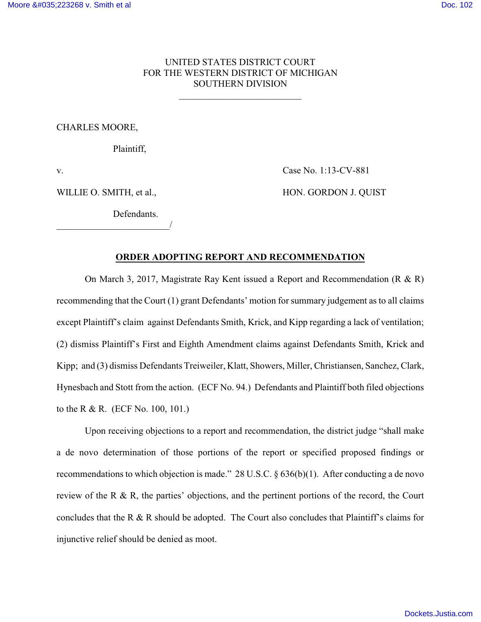# UNITED STATES DISTRICT COURT FOR THE WESTERN DISTRICT OF MICHIGAN SOUTHERN DIVISION

\_\_\_\_\_\_\_\_\_\_\_\_\_\_\_\_\_\_\_\_\_\_\_\_\_\_

## CHARLES MOORE,

Plaintiff,

**Defendants** 

\_\_\_\_\_\_\_\_\_\_\_\_\_\_\_\_\_\_\_\_\_\_\_\_/

v. Case No. 1:13-CV-881

WILLIE O. SMITH, et al., HON. GORDON J. QUIST

# **ORDER ADOPTING REPORT AND RECOMMENDATION**

On March 3, 2017, Magistrate Ray Kent issued a Report and Recommendation (R  $\&$  R) recommending that the Court (1) grant Defendants' motion for summary judgement as to all claims except Plaintiff's claim against Defendants Smith, Krick, and Kipp regarding a lack of ventilation; (2) dismiss Plaintiff's First and Eighth Amendment claims against Defendants Smith, Krick and Kipp; and (3) dismiss Defendants Treiweiler, Klatt, Showers, Miller, Christiansen, Sanchez, Clark, Hynesbach and Stott from the action. (ECF No. 94.) Defendants and Plaintiff both filed objections to the R & R. (ECF No. 100, 101.)

Upon receiving objections to a report and recommendation, the district judge "shall make a de novo determination of those portions of the report or specified proposed findings or recommendations to which objection is made." 28 U.S.C. § 636(b)(1). After conducting a de novo review of the R & R, the parties' objections, and the pertinent portions of the record, the Court concludes that the R & R should be adopted. The Court also concludes that Plaintiff's claims for injunctive relief should be denied as moot.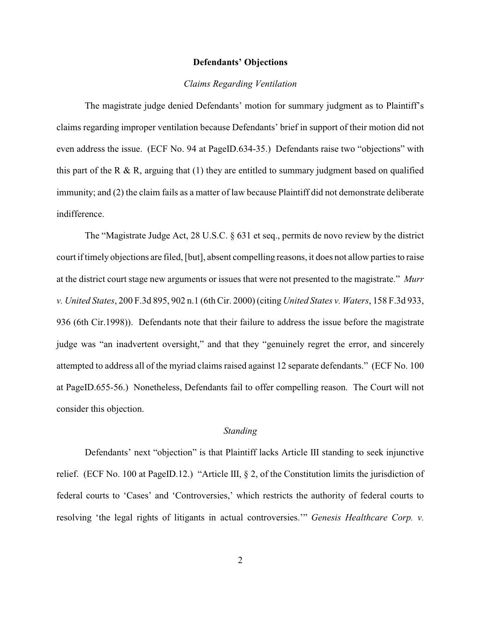## **Defendants' Objections**

## *Claims Regarding Ventilation*

The magistrate judge denied Defendants' motion for summary judgment as to Plaintiff's claims regarding improper ventilation because Defendants' brief in support of their motion did not even address the issue. (ECF No. 94 at PageID.634-35.) Defendants raise two "objections" with this part of the R & R, arguing that  $(1)$  they are entitled to summary judgment based on qualified immunity; and (2) the claim fails as a matter of law because Plaintiff did not demonstrate deliberate indifference.

The "Magistrate Judge Act, 28 U.S.C. § 631 et seq., permits de novo review by the district court if timely objections are filed, [but], absent compelling reasons, it does not allow parties to raise at the district court stage new arguments or issues that were not presented to the magistrate." *Murr v. United States*, 200 F.3d 895, 902 n.1 (6th Cir. 2000) (citing *United States v. Waters*, 158 F.3d 933, 936 (6th Cir.1998)). Defendants note that their failure to address the issue before the magistrate judge was "an inadvertent oversight," and that they "genuinely regret the error, and sincerely attempted to address all of the myriad claims raised against 12 separate defendants." (ECF No. 100 at PageID.655-56.) Nonetheless, Defendants fail to offer compelling reason. The Court will not consider this objection.

## *Standing*

Defendants' next "objection" is that Plaintiff lacks Article III standing to seek injunctive relief. (ECF No. 100 at PageID.12.) "Article III, § 2, of the Constitution limits the jurisdiction of federal courts to 'Cases' and 'Controversies,' which restricts the authority of federal courts to resolving 'the legal rights of litigants in actual controversies.'" *Genesis Healthcare Corp. v.*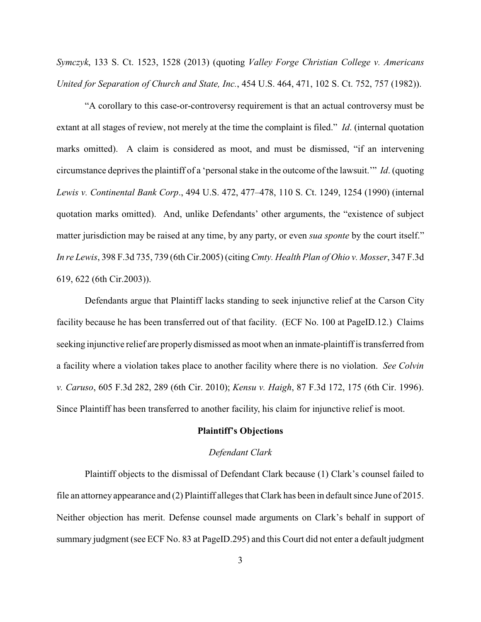*Symczyk*, 133 S. Ct. 1523, 1528 (2013) (quoting *Valley Forge Christian College v. Americans United for Separation of Church and State, Inc.*, 454 U.S. 464, 471, 102 S. Ct. 752, 757 (1982)).

"A corollary to this case-or-controversy requirement is that an actual controversy must be extant at all stages of review, not merely at the time the complaint is filed." *Id*. (internal quotation marks omitted). A claim is considered as moot, and must be dismissed, "if an intervening circumstance deprives the plaintiff of a 'personal stake in the outcome of the lawsuit.'" *Id*. (quoting *Lewis v. Continental Bank Corp*., 494 U.S. 472, 477–478, 110 S. Ct. 1249, 1254 (1990) (internal quotation marks omitted). And, unlike Defendants' other arguments, the "existence of subject matter jurisdiction may be raised at any time, by any party, or even *sua sponte* by the court itself." *In re Lewis*, 398 F.3d 735, 739 (6th Cir.2005) (citing *Cmty. Health Plan of Ohio v. Mosser*, 347 F.3d 619, 622 (6th Cir.2003)).

Defendants argue that Plaintiff lacks standing to seek injunctive relief at the Carson City facility because he has been transferred out of that facility. (ECF No. 100 at PageID.12.) Claims seeking injunctive relief are properly dismissed as moot when an inmate-plaintiff is transferred from a facility where a violation takes place to another facility where there is no violation. *See Colvin v. Caruso*, 605 F.3d 282, 289 (6th Cir. 2010); *Kensu v. Haigh*, 87 F.3d 172, 175 (6th Cir. 1996). Since Plaintiff has been transferred to another facility, his claim for injunctive relief is moot.

## **Plaintiff's Objections**

#### *Defendant Clark*

Plaintiff objects to the dismissal of Defendant Clark because (1) Clark's counsel failed to file an attorney appearance and (2) Plaintiff alleges that Clark has been in default since June of 2015. Neither objection has merit. Defense counsel made arguments on Clark's behalf in support of summary judgment (see ECF No. 83 at PageID.295) and this Court did not enter a default judgment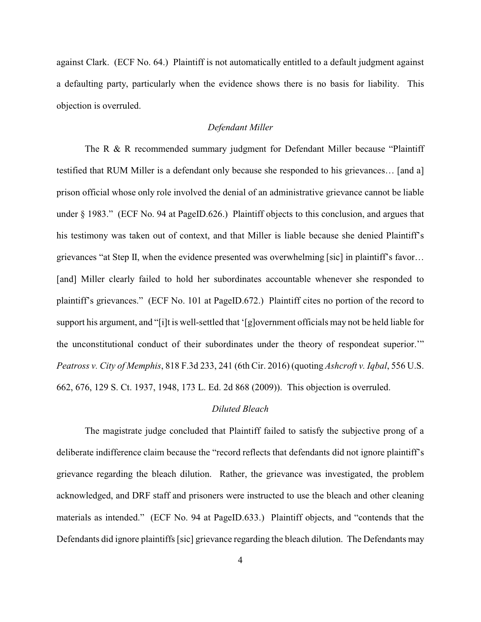against Clark. (ECF No. 64.) Plaintiff is not automatically entitled to a default judgment against a defaulting party, particularly when the evidence shows there is no basis for liability. This objection is overruled.

# *Defendant Miller*

The R & R recommended summary judgment for Defendant Miller because "Plaintiff" testified that RUM Miller is a defendant only because she responded to his grievances… [and a] prison official whose only role involved the denial of an administrative grievance cannot be liable under § 1983." (ECF No. 94 at PageID.626.) Plaintiff objects to this conclusion, and argues that his testimony was taken out of context, and that Miller is liable because she denied Plaintiff's grievances "at Step II, when the evidence presented was overwhelming [sic] in plaintiff's favor… [and] Miller clearly failed to hold her subordinates accountable whenever she responded to plaintiff's grievances." (ECF No. 101 at PageID.672.) Plaintiff cites no portion of the record to support his argument, and "[i]t is well-settled that '[g]overnment officials may not be held liable for the unconstitutional conduct of their subordinates under the theory of respondeat superior.'" *Peatross v. City of Memphis*, 818 F.3d 233, 241 (6th Cir. 2016) (quoting *Ashcroft v. Iqbal*, 556 U.S. 662, 676, 129 S. Ct. 1937, 1948, 173 L. Ed. 2d 868 (2009)). This objection is overruled.

# *Diluted Bleach*

The magistrate judge concluded that Plaintiff failed to satisfy the subjective prong of a deliberate indifference claim because the "record reflects that defendants did not ignore plaintiff's grievance regarding the bleach dilution. Rather, the grievance was investigated, the problem acknowledged, and DRF staff and prisoners were instructed to use the bleach and other cleaning materials as intended." (ECF No. 94 at PageID.633.) Plaintiff objects, and "contends that the Defendants did ignore plaintiffs [sic] grievance regarding the bleach dilution. The Defendants may